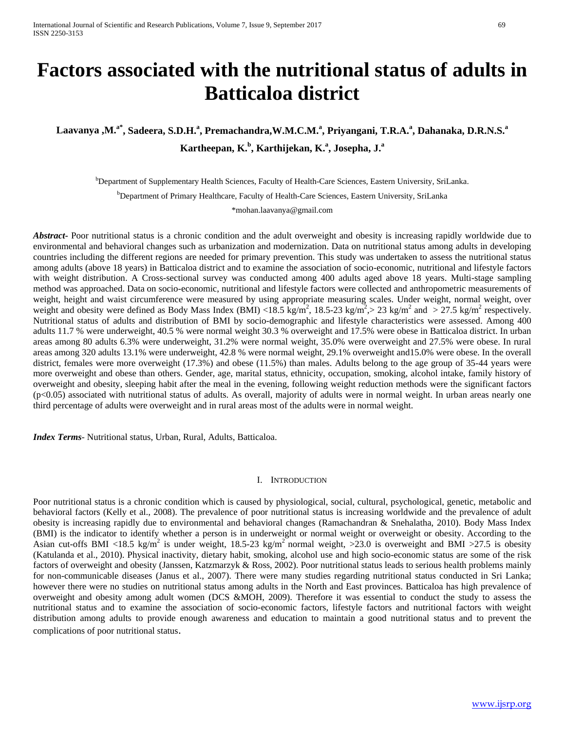# **Factors associated with the nutritional status of adults in Batticaloa district**

**Laavanya ,M.a\* , Sadeera, S.D.H. a , Premachandra,W.M.C.M.<sup>a</sup> , Priyangani, T.R.A.<sup>a</sup> , Dahanaka, D.R.N.S.<sup>a</sup> Kartheepan, K. b , Karthijekan, K. a , Josepha, J. a**

b Department of Supplementary Health Sciences, Faculty of Health-Care Sciences, Eastern University, SriLanka. <sup>b</sup>Department of Primary Healthcare, Faculty of Health-Care Sciences, Eastern University, SriLanka

\*mohan.laavanya@gmail.com

*Abstract* Poor nutritional status is a chronic condition and the adult overweight and obesity is increasing rapidly worldwide due to environmental and behavioral changes such as urbanization and modernization. Data on nutritional status among adults in developing countries including the different regions are needed for primary prevention. This study was undertaken to assess the nutritional status among adults (above 18 years) in Batticaloa district and to examine the association of socio-economic, nutritional and lifestyle factors with weight distribution. A Cross-sectional survey was conducted among 400 adults aged above 18 years. Multi-stage sampling method was approached. Data on socio-economic, nutritional and lifestyle factors were collected and anthropometric measurements of weight, height and waist circumference were measured by using appropriate measuring scales. Under weight, normal weight, over weight and obesity were defined as Body Mass Index (BMI) <18.5 kg/m<sup>2</sup>, 18.5-23 kg/m<sup>2</sup>, > 23 kg/m<sup>2</sup> and > 27.5 kg/m<sup>2</sup> respectively. Nutritional status of adults and distribution of BMI by socio-demographic and lifestyle characteristics were assessed. Among 400 adults 11.7 % were underweight, 40.5 % were normal weight 30.3 % overweight and 17.5% were obese in Batticaloa district. In urban areas among 80 adults 6.3% were underweight, 31.2% were normal weight, 35.0% were overweight and 27.5% were obese. In rural areas among 320 adults 13.1% were underweight, 42.8 % were normal weight, 29.1% overweight and15.0% were obese. In the overall district, females were more overweight (17.3%) and obese (11.5%) than males. Adults belong to the age group of 35-44 years were more overweight and obese than others. Gender, age, marital status, ethnicity, occupation, smoking, alcohol intake, family history of overweight and obesity, sleeping habit after the meal in the evening, following weight reduction methods were the significant factors (p<0.05) associated with nutritional status of adults. As overall, majority of adults were in normal weight. In urban areas nearly one third percentage of adults were overweight and in rural areas most of the adults were in normal weight.

*Index Terms*- Nutritional status, Urban, Rural, Adults, Batticaloa.

#### I. INTRODUCTION

Poor nutritional status is a chronic condition which is caused by physiological, social, cultural, psychological, genetic, metabolic and behavioral factors (Kelly et al., 2008). The prevalence of poor nutritional status is increasing worldwide and the prevalence of adult obesity is increasing rapidly due to environmental and behavioral changes (Ramachandran & Snehalatha, 2010). Body Mass Index (BMI) is the indicator to identify whether a person is in underweight or normal weight or overweight or obesity. According to the Asian cut-offs BMI <18.5 kg/m<sup>2</sup> is under weight, 18.5-23 kg/m<sup>2</sup> normal weight, >23.0 is overweight and BMI >27.5 is obesity (Katulanda et al., 2010). Physical inactivity, dietary habit, smoking, alcohol use and high socio-economic status are some of the risk factors of overweight and obesity (Janssen, Katzmarzyk & Ross, 2002). Poor nutritional status leads to serious health problems mainly for non-communicable diseases (Janus et al., 2007). There were many studies regarding nutritional status conducted in Sri Lanka; however there were no studies on nutritional status among adults in the North and East provinces. Batticaloa has high prevalence of overweight and obesity among adult women (DCS &MOH, 2009). Therefore it was essential to conduct the study to assess the nutritional status and to examine the association of socio-economic factors, lifestyle factors and nutritional factors with weight distribution among adults to provide enough awareness and education to maintain a good nutritional status and to prevent the complications of poor nutritional status.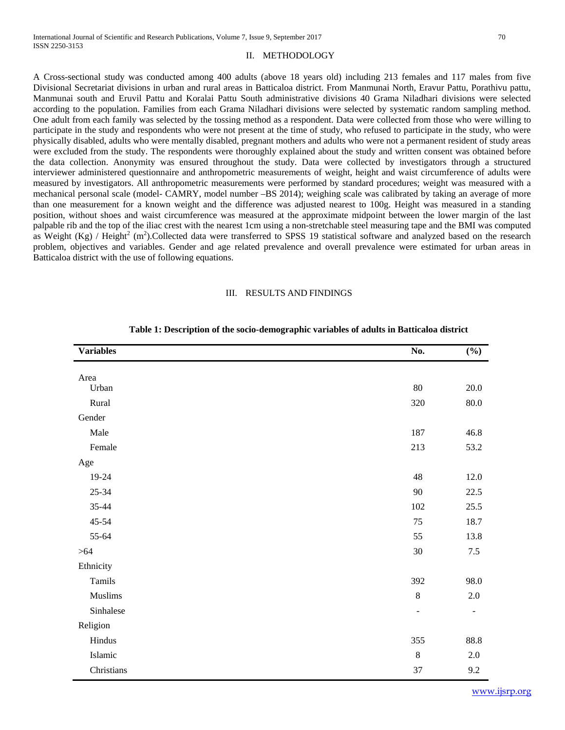#### II. METHODOLOGY

A Cross-sectional study was conducted among 400 adults (above 18 years old) including 213 females and 117 males from five Divisional Secretariat divisions in urban and rural areas in Batticaloa district. From Manmunai North, Eravur Pattu, Porathivu pattu, Manmunai south and Eruvil Pattu and Koralai Pattu South administrative divisions 40 Grama Niladhari divisions were selected according to the population. Families from each Grama Niladhari divisions were selected by systematic random sampling method. One adult from each family was selected by the tossing method as a respondent. Data were collected from those who were willing to participate in the study and respondents who were not present at the time of study, who refused to participate in the study, who were physically disabled, adults who were mentally disabled, pregnant mothers and adults who were not a permanent resident of study areas were excluded from the study. The respondents were thoroughly explained about the study and written consent was obtained before the data collection. Anonymity was ensured throughout the study. Data were collected by investigators through a structured interviewer administered questionnaire and anthropometric measurements of weight, height and waist circumference of adults were measured by investigators. All anthropometric measurements were performed by standard procedures; weight was measured with a mechanical personal scale (model- CAMRY, model number –BS 2014); weighing scale was calibrated by taking an average of more than one measurement for a known weight and the difference was adjusted nearest to 100g. Height was measured in a standing position, without shoes and waist circumference was measured at the approximate midpoint between the lower margin of the last palpable rib and the top of the iliac crest with the nearest 1cm using a non-stretchable steel measuring tape and the BMI was computed as Weight (Kg) / Height<sup>2</sup> (m<sup>2</sup>).Collected data were transferred to SPSS 19 statistical software and analyzed based on the research problem, objectives and variables. Gender and age related prevalence and overall prevalence were estimated for urban areas in Batticaloa district with the use of following equations.

# III. RESULTS AND FINDINGS

| Area<br>Urban<br>Rural<br>Gender<br>Male<br>Female<br>Age<br>19-24<br>$25 - 34$<br>35-44<br>45-54<br>55-64<br>> 64<br>Ethnicity<br>Tamils<br>Muslims<br>Sinhalese<br>Religion | No.            | $(\%)$                   |
|-------------------------------------------------------------------------------------------------------------------------------------------------------------------------------|----------------|--------------------------|
|                                                                                                                                                                               |                |                          |
|                                                                                                                                                                               | $80\,$         | $20.0\,$                 |
|                                                                                                                                                                               | 320            | $80.0\,$                 |
|                                                                                                                                                                               |                |                          |
|                                                                                                                                                                               | 187            | 46.8                     |
|                                                                                                                                                                               | 213            | 53.2                     |
|                                                                                                                                                                               |                |                          |
|                                                                                                                                                                               | 48             | 12.0                     |
|                                                                                                                                                                               | 90             | 22.5                     |
|                                                                                                                                                                               | 102            | 25.5                     |
|                                                                                                                                                                               | 75             | 18.7                     |
|                                                                                                                                                                               | 55             | 13.8                     |
|                                                                                                                                                                               | $30\,$         | $7.5\,$                  |
|                                                                                                                                                                               |                |                          |
|                                                                                                                                                                               | 392            | 98.0                     |
|                                                                                                                                                                               | $8\,$          | $2.0\,$                  |
|                                                                                                                                                                               | $\overline{a}$ | $\overline{\phantom{a}}$ |
|                                                                                                                                                                               |                |                          |
| Hindus                                                                                                                                                                        | 355            | 88.8                     |
| Islamic                                                                                                                                                                       | $\,8\,$        | $2.0\,$                  |
| Christians                                                                                                                                                                    | 37             | 9.2                      |

#### **Table 1: Description of the socio-demographic variables of adults in Batticaloa district**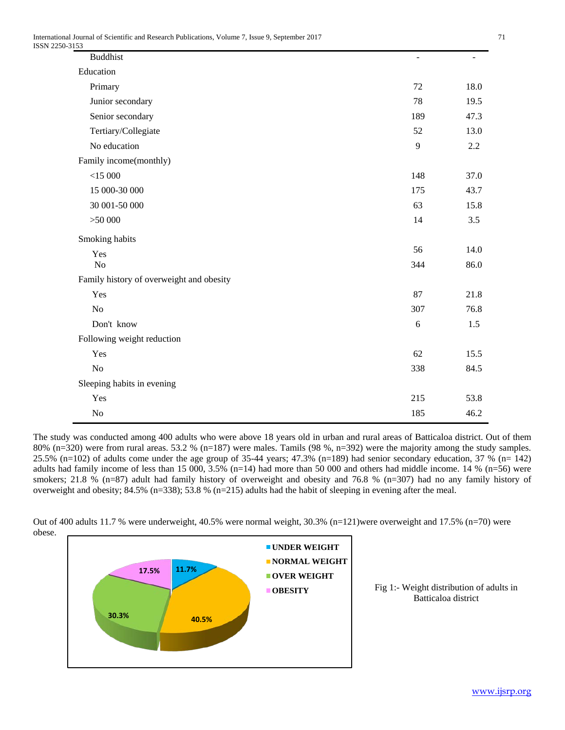| ----<br><b>Buddhist</b>                  | $\overline{a}$ |      |
|------------------------------------------|----------------|------|
| Education                                |                |      |
| Primary                                  | 72             | 18.0 |
| Junior secondary                         | 78             | 19.5 |
| Senior secondary                         | 189            | 47.3 |
| Tertiary/Collegiate                      | 52             | 13.0 |
| No education                             | 9              | 2.2  |
| Family income(monthly)                   |                |      |
| $<$ 15 000                               | 148            | 37.0 |
| 15 000-30 000                            | 175            | 43.7 |
| 30 001-50 000                            | 63             | 15.8 |
| >50000                                   | 14             | 3.5  |
| Smoking habits                           |                |      |
| Yes                                      | 56             | 14.0 |
| No                                       | 344            | 86.0 |
| Family history of overweight and obesity |                |      |
| Yes                                      | 87             | 21.8 |
| No                                       | 307            | 76.8 |
| Don't know                               | 6              | 1.5  |
| Following weight reduction               |                |      |
| Yes                                      | 62             | 15.5 |
| $\rm No$                                 | 338            | 84.5 |
| Sleeping habits in evening               |                |      |
| Yes                                      | 215            | 53.8 |
| $\rm No$                                 | 185            | 46.2 |

The study was conducted among 400 adults who were above 18 years old in urban and rural areas of Batticaloa district. Out of them 80% (n=320) were from rural areas. 53.2 % (n=187) were males. Tamils (98 %, n=392) were the majority among the study samples. 25.5% (n=102) of adults come under the age group of 35-44 years; 47.3% (n=189) had senior secondary education, 37 % (n= 142) adults had family income of less than 15 000, 3.5% (n=14) had more than 50 000 and others had middle income. 14 % (n=56) were smokers; 21.8 % (n=87) adult had family history of overweight and obesity and 76.8 % (n=307) had no any family history of overweight and obesity; 84.5% (n=338); 53.8 % (n=215) adults had the habit of sleeping in evening after the meal.



Out of 400 adults 11.7 % were underweight, 40.5% were normal weight, 30.3% (n=121)were overweight and 17.5% (n=70) were obese.

> Fig 1:- Weight distribution of adults in Batticaloa district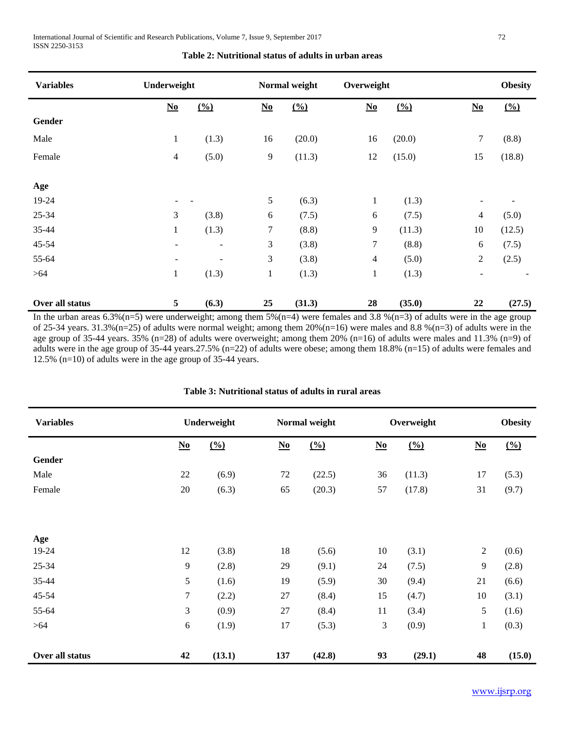| <b>Variables</b> | Underweight                        |                          | Normal weight                      |               | Overweight                         |               |                                                | <b>Obesity</b> |
|------------------|------------------------------------|--------------------------|------------------------------------|---------------|------------------------------------|---------------|------------------------------------------------|----------------|
|                  | $\underline{\mathbf{N}\mathbf{o}}$ | $\frac{0}{0}$            | $\underline{\mathbf{N}}\mathbf{0}$ | $\frac{0}{0}$ | $\underline{\mathbf{N}\mathbf{0}}$ | $\frac{0}{0}$ | $\underline{\mathbf{N}}\underline{\mathbf{0}}$ | $\frac{0}{0}$  |
| Gender           |                                    |                          |                                    |               |                                    |               |                                                |                |
| Male             | $\mathbf{1}$                       | (1.3)                    | 16                                 | (20.0)        | 16                                 | (20.0)        | $\tau$                                         | (8.8)          |
| Female           | 4                                  | (5.0)                    | 9                                  | (11.3)        | 12                                 | (15.0)        | 15                                             | (18.8)         |
|                  |                                    |                          |                                    |               |                                    |               |                                                |                |
| Age              |                                    |                          |                                    |               |                                    |               |                                                |                |
| 19-24            | $\overline{\phantom{a}}$           |                          | 5                                  | (6.3)         | 1                                  | (1.3)         | $\overline{\phantom{a}}$                       |                |
| 25-34            | 3                                  | (3.8)                    | 6                                  | (7.5)         | 6                                  | (7.5)         | 4                                              | (5.0)          |
| 35-44            | $\mathbf{1}$                       | (1.3)                    | 7                                  | (8.8)         | 9                                  | (11.3)        | 10                                             | (12.5)         |
| $45 - 54$        | $\blacksquare$                     | $\overline{\phantom{a}}$ | 3                                  | (3.8)         | $\tau$                             | (8.8)         | 6                                              | (7.5)          |
| 55-64            | $\qquad \qquad -$                  | $\overline{\phantom{a}}$ | 3                                  | (3.8)         | $\overline{4}$                     | (5.0)         | $\overline{2}$                                 | (2.5)          |
| $>64$            | $\mathbf{1}$                       | (1.3)                    | $\mathbf{1}$                       | (1.3)         | $\mathbf{1}$                       | (1.3)         | $\overline{\phantom{a}}$                       |                |
| Over all status  | 5                                  | (6.3)                    | 25                                 | (31.3)        | 28                                 | (35.0)        | 22                                             | (27.5)         |

**Table 2: Nutritional status of adults in urban areas**

In the urban areas  $6.3\%(n=5)$  were underweight; among them  $5\%(n=4)$  were females and  $3.8\%(n=3)$  of adults were in the age group of 25-34 years. 31.3%(n=25) of adults were normal weight; among them  $20\%$ (n=16) were males and 8.8 %(n=3) of adults were in the age group of 35-44 years. 35% (n=28) of adults were overweight; among them 20% (n=16) of adults were males and 11.3% (n=9) of adults were in the age group of 35-44 years.27.5% (n=22) of adults were obese; among them 18.8% (n=15) of adults were females and 12.5% (n=10) of adults were in the age group of 35-44 years.

| <b>Variables</b> |                                    | Underweight     | Normal weight                      |                 | Overweight                         |               |                                    | <b>Obesity</b> |
|------------------|------------------------------------|-----------------|------------------------------------|-----------------|------------------------------------|---------------|------------------------------------|----------------|
|                  | $\underline{\mathbf{N}\mathbf{o}}$ | $\frac{(0)}{0}$ | $\underline{\mathbf{N}\mathbf{o}}$ | $\frac{(0)}{0}$ | $\underline{\mathbf{N}\mathbf{0}}$ | $\frac{0}{0}$ | $\underline{\mathbf{N}\mathbf{0}}$ | $\frac{0}{0}$  |
| Gender           |                                    |                 |                                    |                 |                                    |               |                                    |                |
| Male             | 22                                 | (6.9)           | 72                                 | (22.5)          | 36                                 | (11.3)        | 17                                 | (5.3)          |
| Female           | 20                                 | (6.3)           | 65                                 | (20.3)          | 57                                 | (17.8)        | 31                                 | (9.7)          |
|                  |                                    |                 |                                    |                 |                                    |               |                                    |                |
| Age              |                                    |                 |                                    |                 |                                    |               |                                    |                |
| 19-24            | 12                                 | (3.8)           | 18                                 | (5.6)           | 10                                 | (3.1)         | $\boldsymbol{2}$                   | (0.6)          |
| $25 - 34$        | 9                                  | (2.8)           | 29                                 | (9.1)           | 24                                 | (7.5)         | 9                                  | (2.8)          |
| 35-44            | 5                                  | (1.6)           | 19                                 | (5.9)           | 30                                 | (9.4)         | 21                                 | (6.6)          |
| 45-54            | $\tau$                             | (2.2)           | 27                                 | (8.4)           | 15                                 | (4.7)         | 10                                 | (3.1)          |
| 55-64            | 3                                  | (0.9)           | 27                                 | (8.4)           | 11                                 | (3.4)         | 5                                  | (1.6)          |
| $>64$            | $\sqrt{6}$                         | (1.9)           | 17                                 | (5.3)           | 3                                  | (0.9)         | $\mathbf{1}$                       | (0.3)          |
|                  |                                    |                 |                                    |                 |                                    |               |                                    |                |
| Over all status  | 42                                 | (13.1)          | 137                                | (42.8)          | 93                                 | (29.1)        | 48                                 | (15.0)         |

# **Table 3: Nutritional status of adults in rural areas**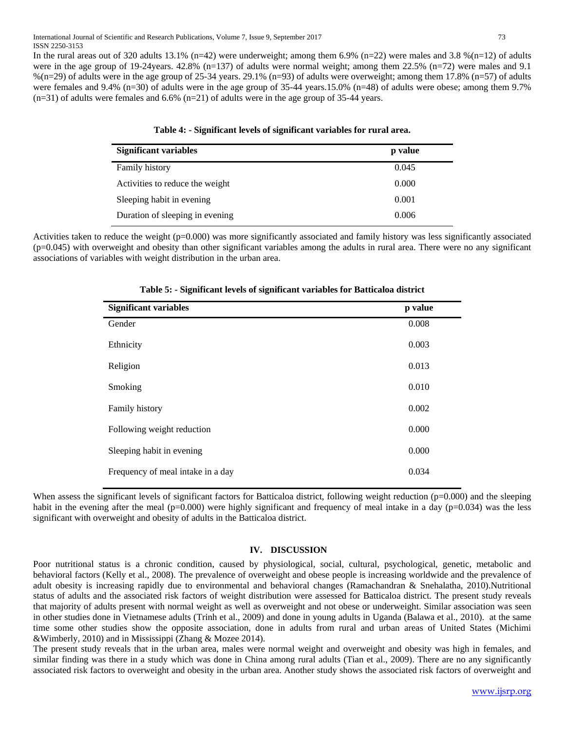In the rural areas out of 320 adults 13.1% (n=42) were underweight; among them 6.9% (n=22) were males and 3.8 %(n=12) of adults were in the age group of 19-24years. 42.8% (n=137) of adults were normal weight; among them 22.5% (n=72) were males and 9.1  $%$ (n=29) of adults were in the age group of 25-34 years. 29.1% (n=93) of adults were overweight; among them 17.8% (n=57) of adults were females and 9.4% (n=30) of adults were in the age group of 35-44 years.15.0% (n=48) of adults were obese; among them 9.7%  $(n=31)$  of adults were females and 6.6%  $(n=21)$  of adults were in the age group of 35-44 years.

| <b>Significant variables</b>    | p value |
|---------------------------------|---------|
| <b>Family history</b>           | 0.045   |
| Activities to reduce the weight | 0.000   |
| Sleeping habit in evening       | 0.001   |
| Duration of sleeping in evening | 0.006   |

# **Table 4: - Significant levels of significant variables for rural area.**

Activities taken to reduce the weight (p=0.000) was more significantly associated and family history was less significantly associated  $(p=0.045)$  with overweight and obesity than other significant variables among the adults in rural area. There were no any significant associations of variables with weight distribution in the urban area.

| <b>Significant variables</b>      | p value |
|-----------------------------------|---------|
| Gender                            | 0.008   |
| Ethnicity                         | 0.003   |
| Religion                          | 0.013   |
| Smoking                           | 0.010   |
| Family history                    | 0.002   |
| Following weight reduction        | 0.000   |
| Sleeping habit in evening         | 0.000   |
| Frequency of meal intake in a day | 0.034   |

|  |  |  | Table 5: - Significant levels of significant variables for Batticaloa district |
|--|--|--|--------------------------------------------------------------------------------|
|  |  |  |                                                                                |

When assess the significant levels of significant factors for Batticaloa district, following weight reduction (p=0.000) and the sleeping habit in the evening after the meal ( $p=0.000$ ) were highly significant and frequency of meal intake in a day ( $p=0.034$ ) was the less significant with overweight and obesity of adults in the Batticaloa district.

# **IV. DISCUSSION**

Poor nutritional status is a chronic condition, caused by physiological, social, cultural, psychological, genetic, metabolic and behavioral factors (Kelly et al., 2008). The prevalence of overweight and obese people is increasing worldwide and the prevalence of adult obesity is increasing rapidly due to environmental and behavioral changes (Ramachandran & Snehalatha, 2010).Nutritional status of adults and the associated risk factors of weight distribution were assessed for Batticaloa district. The present study reveals that majority of adults present with normal weight as well as overweight and not obese or underweight. Similar association was seen in other studies done in Vietnamese adults (Trinh et al., 2009) and done in young adults in Uganda (Balawa et al., 2010). at the same time some other studies show the opposite association, done in adults from rural and urban areas of United States (Michimi &Wimberly, 2010) and in Mississippi (Zhang & Mozee 2014).

The present study reveals that in the urban area, males were normal weight and overweight and obesity was high in females, and similar finding was there in a study which was done in China among rural adults (Tian et al., 2009). There are no any significantly associated risk factors to overweight and obesity in the urban area. Another study shows the associated risk factors of overweight and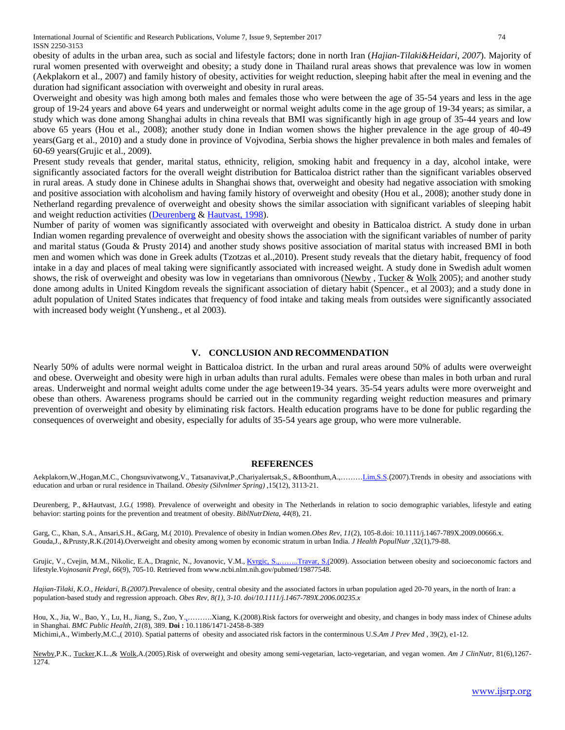obesity of adults in the urban area, such as social and lifestyle factors; done in north Iran (*Hajian-Tilaki&Heidari, 2007*). Majority of rural women presented with overweight and obesity; a study done in Thailand rural areas shows that prevalence was low in women (Aekplakorn et al., 2007) and family history of obesity, activities for weight reduction, sleeping habit after the meal in evening and the duration had significant association with overweight and obesity in rural areas.

Overweight and obesity was high among both males and females those who were between the age of 35-54 years and less in the age group of 19-24 years and above 64 years and underweight or normal weight adults come in the age group of 19-34 years; as similar, a study which was done among Shanghai adults in china reveals that BMI was significantly high in age group of 35-44 years and low above 65 years (Hou et al., 2008); another study done in Indian women shows the higher prevalence in the age group of 40-49 years(Garg et al., 2010) and a study done in province of Vojvodina, Serbia shows the higher prevalence in both males and females of 60-69 years(Grujic et al., 2009).

Present study reveals that gender, marital status, ethnicity, religion, smoking habit and frequency in a day, alcohol intake, were significantly associated factors for the overall weight distribution for Batticaloa district rather than the significant variables observed in rural areas. A study done in Chinese adults in Shanghai shows that, overweight and obesity had negative association with smoking and positive association with alcoholism and having family history of overweight and obesity (Hou et al., 2008); another study done in Netherland regarding prevalence of overweight and obesity shows the similar association with significant variables of sleeping habit and weight reduction activities [\(Deurenberg](http://www.ncbi.nlm.nih.gov/pubmed?term=Deurenberg%20P%5BAuthor%5D&cauthor=true&cauthor_uid=2675827) & [Hautvast, 1998\)](http://www.ncbi.nlm.nih.gov/pubmed?term=Hautvast%20JG%5BAuthor%5D&cauthor=true&cauthor_uid=2675827).

Number of parity of women was significantly associated with overweight and obesity in Batticaloa district. A study done in urban Indian women regarding prevalence of overweight and obesity shows the association with the significant variables of number of parity and marital status [\(Gouda](http://www.ncbi.nlm.nih.gov/pubmed?term=Gouda%20J%5BAuthor%5D&cauthor=true&cauthor_uid=24847596) & [Prusty 2014\)](http://www.ncbi.nlm.nih.gov/pubmed?term=Prusty%20RK%5BAuthor%5D&cauthor=true&cauthor_uid=24847596) and another study shows positive association of marital status with increased BMI in both men and women which was done in Greek adults (Tzotzas et al.,2010). Present study reveals that the dietary habit, frequency of food intake in a day and places of meal taking were significantly associated with increased weight. A study done in Swedish adult women shows, the risk of overweight and obesity was low in vegetarians than omnivorous [\(Newby](http://ajcn.nutrition.org/search?author1=PK+Newby&sortspec=date&submit=Submit), [Tucker](http://ajcn.nutrition.org/search?author1=Katherine+L+Tucker&sortspec=date&submit=Submit) & [Wolk](http://ajcn.nutrition.org/search?author1=Alicja+Wolk&sortspec=date&submit=Submit) 2005); and another study done among adults in United Kingdom reveals the significant association of dietary habit (Spencer., et al 2003); and a study done in adult population of United States indicates that frequency of food intake and taking meals from outsides were significantly associated with increased body weight (Yunsheng., et al 2003).

# **V. CONCLUSION AND RECOMMENDATION**

Nearly 50% of adults were normal weight in Batticaloa district. In the urban and rural areas around 50% of adults were overweight and obese. Overweight and obesity were high in urban adults than rural adults. Females were obese than males in both urban and rural areas. Underweight and normal weight adults come under the age between19-34 years. 35-54 years adults were more overweight and obese than others. Awareness programs should be carried out in the community regarding weight reduction measures and primary prevention of overweight and obesity by eliminating risk factors. Health education programs have to be done for public regarding the consequences of overweight and obesity, especially for adults of 35-54 years age group, who were more vulnerable.

# **REFERENCES**

Aekplakorn,W.,Hogan,M.C., Chongsuvivatwong,V., Tatsanavivat,P.,Chariyalertsak,S., &Boonthum,A.,……[…Lim,S.S](https://www.ncbi.nlm.nih.gov/pubmed/?term=Lim%20SS%5BAuthor%5D&cauthor=true&cauthor_uid=18198322).(2007).Trends in obesity and associations with education and urban or rural residence in Thailand. *[Obesity \(Silvnlmer Spring\)](http://www.ncbi.nlm.nih.gov/pubmed/18198322)* ,15(12), 3113-21.

Deurenberg, P., &Hautvast, J.G.( 1998). Prevalence of overweight and obesity in The Netherlands in relation to socio demographic variables, lifestyle and eating behavior: starting points for the prevention and treatment of obesity. *BiblNutrDieta*, *44*(8), 21.

Garg, C., Khan, S.A., Ansari,S.H., &Garg, M.( 2010). Prevalence of obesity in Indian women.*Obes Rev*, *11*(2), 105-8.doi: 10.1111/j.1467-789X.2009.00666.x. [Gouda,J.,](http://www.ncbi.nlm.nih.gov/pubmed?term=Gouda%20J%5BAuthor%5D&cauthor=true&cauthor_uid=24847596) [&Prusty,R.K.](http://www.ncbi.nlm.nih.gov/pubmed?term=Prusty%20RK%5BAuthor%5D&cauthor=true&cauthor_uid=24847596)(2014).Overweight and obesity among women by economic stratum in urban India. *[J Health PopulNutr](http://www.ncbi.nlm.nih.gov/pubmed/24847596)* ,32(1),79-88.

Grujic, V., Cvejin, M.M., Nikolic, E.A., Dragnic, N., Jovanovic, V.M., [Kvrgic, S.,](http://www.ncbi.nlm.nih.gov/pubmed?term=Kvrgi%C4%87%20S%5BAuthor%5D&cauthor=true&cauthor_uid=19877548)…….Travar, S.(2009). Association between obesity and socioeconomic factors and lifestyle.*Vojnosanit Pregl*, *66*(9), 705-10. Retrieved from www.ncbi.nlm.nih.gov/pubmed/19877548.

*Hajian-Tilaki, K.O., Heidari, B.(2007).*Prevalence of obesity, central obesity and the associated factors in urban population aged 20-70 years, in the north of Iran: a population-based study and regression approach. *Obes Rev, 8(1), 3-10. doi/10.1111/j.1467-789X.2006.00235.x*

Hou, X., Jia, W., Bao, Y., Lu, H., Jiang, S., Zuo, Y.,……….Xiang, K.(2008).Risk factors for overweight and obesity, and changes in body mass index of Chinese adults in Shanghai. *BMC Public Health*, *21*(8), 389. **Doi :** 10.1186/1471-2458-8-389 Michimi,A., Wimberly,M.C.,( 2010). Spatial patterns of obesity and associated risk factors in the conterminous U.S.*Am J Prev Med* , 39(2), e1-12.

[Newby,](http://ajcn.nutrition.org/search?author1=PK+Newby&sortspec=date&submit=Submit)P.K., [Tucker,K](http://ajcn.nutrition.org/search?author1=Katherine+L+Tucker&sortspec=date&submit=Submit).L.,& [Wolk,A](http://ajcn.nutrition.org/search?author1=Alicja+Wolk&sortspec=date&submit=Submit).(2005).Risk of overweight and obesity among semi-vegetarian, lacto-vegetarian, and vegan women. *Am J ClinNutr*, 81(6),1267- 1274.